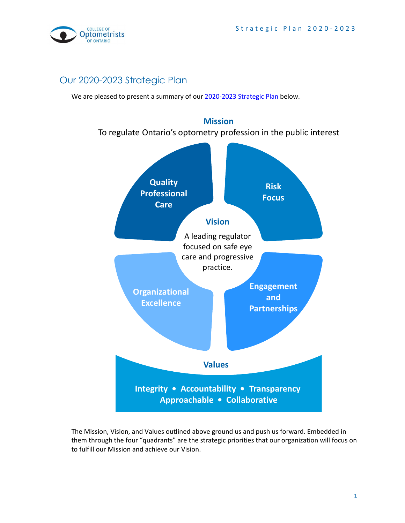

# Our 2020-2023 Strategic Plan

We are pleased to present a summary of our [2020-2023 Strategic Plan](https://www.collegeoptom.on.ca/wp-content/uploads/2016/06/College-of-Optometrists-of-Ontario_Strategic-Plan-Approved-June-25.pdf) below.



The Mission, Vision, and Values outlined above ground us and push us forward. Embedded in them through the four "quadrants" are the strategic priorities that our organization will focus on to fulfill our Mission and achieve our Vision.